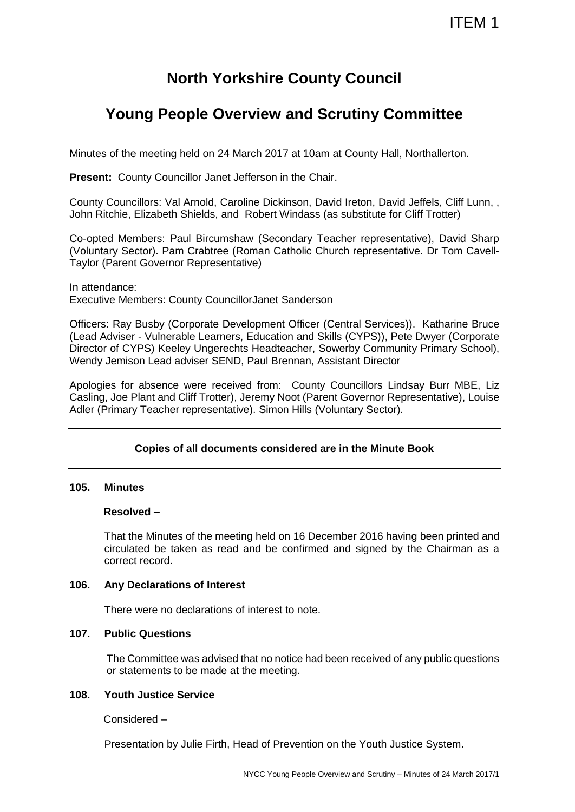# **North Yorkshire County Council**

# **Young People Overview and Scrutiny Committee**

Minutes of the meeting held on 24 March 2017 at 10am at County Hall, Northallerton.

**Present: County Councillor Janet Jefferson in the Chair.** 

County Councillors: Val Arnold, Caroline Dickinson, David Ireton, David Jeffels, Cliff Lunn, , John Ritchie, Elizabeth Shields, and Robert Windass (as substitute for Cliff Trotter)

Co-opted Members: Paul Bircumshaw (Secondary Teacher representative), David Sharp (Voluntary Sector). Pam Crabtree (Roman Catholic Church representative. Dr Tom Cavell-Taylor (Parent Governor Representative)

In attendance: Executive Members: County CouncillorJanet Sanderson

Officers: Ray Busby (Corporate Development Officer (Central Services)). Katharine Bruce (Lead Adviser - Vulnerable Learners, Education and Skills (CYPS)), Pete Dwyer (Corporate Director of CYPS) Keeley Ungerechts Headteacher, Sowerby Community Primary School), Wendy Jemison Lead adviser SEND, Paul Brennan, Assistant Director

Apologies for absence were received from: County Councillors Lindsay Burr MBE, Liz Casling, Joe Plant and Cliff Trotter), Jeremy Noot (Parent Governor Representative), Louise Adler (Primary Teacher representative). Simon Hills (Voluntary Sector).

# **Copies of all documents considered are in the Minute Book**

# **105. Minutes**

# **Resolved –**

That the Minutes of the meeting held on 16 December 2016 having been printed and circulated be taken as read and be confirmed and signed by the Chairman as a correct record.

# **106. Any Declarations of Interest**

There were no declarations of interest to note.

# **107. Public Questions**

The Committee was advised that no notice had been received of any public questions or statements to be made at the meeting.

# **108. Youth Justice Service**

Considered –

Presentation by Julie Firth, Head of Prevention on the Youth Justice System.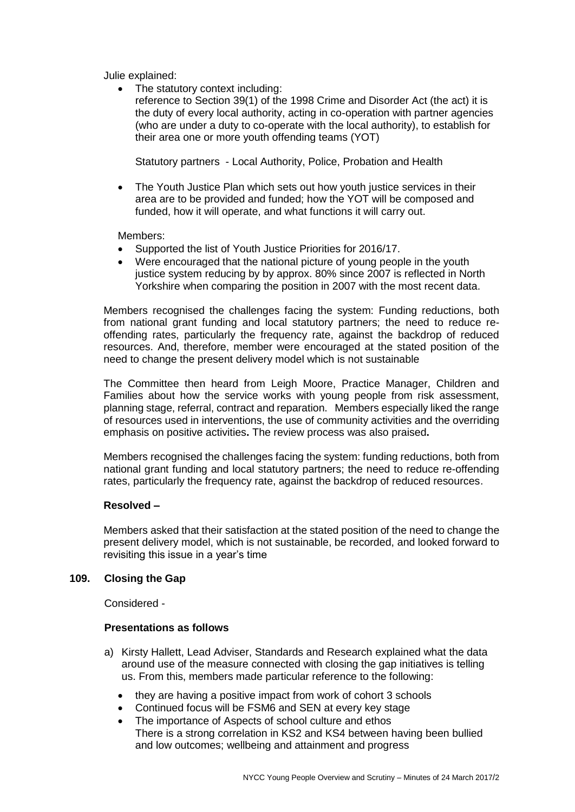Julie explained:

• The statutory context including:

reference to Section 39(1) of the 1998 Crime and Disorder Act (the act) it is the duty of every local authority, acting in co-operation with partner agencies (who are under a duty to co-operate with the local authority), to establish for their area one or more youth offending teams (YOT)

Statutory partners - Local Authority, Police, Probation and Health

• The Youth Justice Plan which sets out how youth justice services in their area are to be provided and funded; how the YOT will be composed and funded, how it will operate, and what functions it will carry out.

Members:

- Supported the list of Youth Justice Priorities for 2016/17.
- Were encouraged that the national picture of young people in the youth justice system reducing by by approx. 80% since 2007 is reflected in North Yorkshire when comparing the position in 2007 with the most recent data.

Members recognised the challenges facing the system: Funding reductions, both from national grant funding and local statutory partners; the need to reduce reoffending rates, particularly the frequency rate, against the backdrop of reduced resources. And, therefore, member were encouraged at the stated position of the need to change the present delivery model which is not sustainable

The Committee then heard from Leigh Moore, Practice Manager, Children and Families about how the service works with young people from risk assessment, planning stage, referral, contract and reparation. Members especially liked the range of resources used in interventions, the use of community activities and the overriding emphasis on positive activities**.** The review process was also praised**.**

Members recognised the challenges facing the system: funding reductions, both from national grant funding and local statutory partners; the need to reduce re-offending rates, particularly the frequency rate, against the backdrop of reduced resources.

# **Resolved –**

Members asked that their satisfaction at the stated position of the need to change the present delivery model, which is not sustainable, be recorded, and looked forward to revisiting this issue in a year's time

### **109. Closing the Gap**

Considered -

## **Presentations as follows**

- a) Kirsty Hallett, Lead Adviser, Standards and Research explained what the data around use of the measure connected with closing the gap initiatives is telling us. From this, members made particular reference to the following:
	- they are having a positive impact from work of cohort 3 schools
	- Continued focus will be FSM6 and SEN at every key stage
	- The importance of Aspects of school culture and ethos There is a strong correlation in KS2 and KS4 between having been bullied and low outcomes; wellbeing and attainment and progress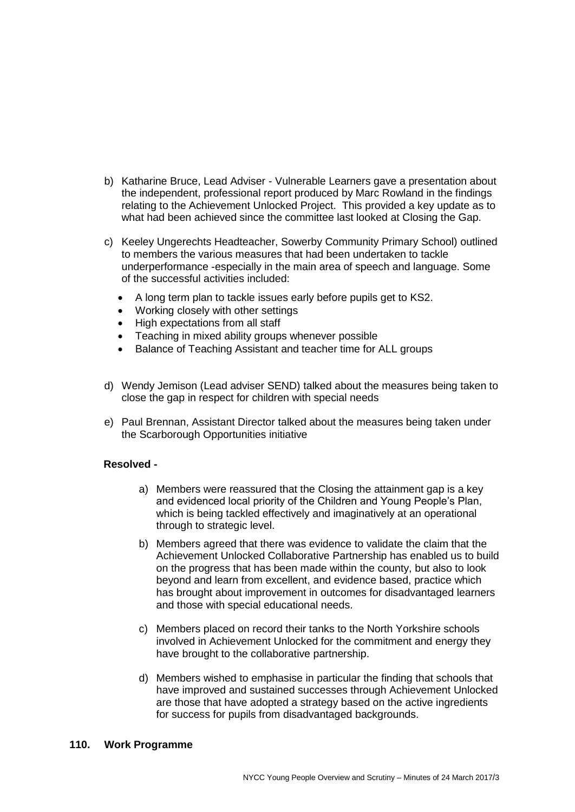- b) Katharine Bruce, Lead Adviser Vulnerable Learners gave a presentation about the independent, professional report produced by Marc Rowland in the findings relating to the Achievement Unlocked Project. This provided a key update as to what had been achieved since the committee last looked at Closing the Gap.
- c) Keeley Ungerechts Headteacher, Sowerby Community Primary School) outlined to members the various measures that had been undertaken to tackle underperformance -especially in the main area of speech and language. Some of the successful activities included:
	- A long term plan to tackle issues early before pupils get to KS2.
	- Working closely with other settings
	- High expectations from all staff
	- Teaching in mixed ability groups whenever possible
	- Balance of Teaching Assistant and teacher time for ALL groups
- d) Wendy Jemison (Lead adviser SEND) talked about the measures being taken to close the gap in respect for children with special needs
- e) Paul Brennan, Assistant Director talked about the measures being taken under the Scarborough Opportunities initiative

#### **Resolved -**

- a) Members were reassured that the Closing the attainment gap is a key and evidenced local priority of the Children and Young People's Plan, which is being tackled effectively and imaginatively at an operational through to strategic level.
- b) Members agreed that there was evidence to validate the claim that the Achievement Unlocked Collaborative Partnership has enabled us to build on the progress that has been made within the county, but also to look beyond and learn from excellent, and evidence based, practice which has brought about improvement in outcomes for disadvantaged learners and those with special educational needs.
- c) Members placed on record their tanks to the North Yorkshire schools involved in Achievement Unlocked for the commitment and energy they have brought to the collaborative partnership.
- d) Members wished to emphasise in particular the finding that schools that have improved and sustained successes through Achievement Unlocked are those that have adopted a strategy based on the active ingredients for success for pupils from disadvantaged backgrounds.

#### **110. Work Programme**